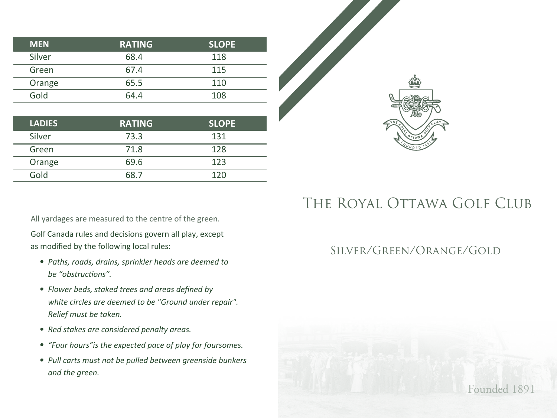| <b>MEN</b> | <b>RATING</b> | <b>SLOPE</b> |  |
|------------|---------------|--------------|--|
| Silver     | 68.4          | 118          |  |
| Green      | 67.4          | 115          |  |
| Orange     | 65.5          | 110          |  |
| Gold       | 64.4          | 108          |  |
|            |               |              |  |

| <b>LADIES</b> | <b>RATING</b> | <b>SLOPE</b> |
|---------------|---------------|--------------|
| Silver        | 73.3          | 131          |
| Green         | 71.8          | 128          |
| Orange        | 69.6          | 123          |
| Gold          | 68 7          | 120          |

All yardages are measured to the centre of the green.

Golf Canada rules and decisions govern all play, except as modified by the following local rules:

- *• Paths, roads, drains, sprinkler heads are deemed to be "obstructions".*
- *• Flower beds, staked trees and areas defined by white circles are deemed to be "Ground under repair". Relief must be taken.*
- *• Red stakes are considered penalty areas.*
- *"Four hours"is the expected pace of play for foursomes.*
- *• Pull carts must not be pulled between greenside bunkers and the green.*

## THE ROYAL OTTAWA GOLF CLUB

## Silver/Green/Orange/Gold